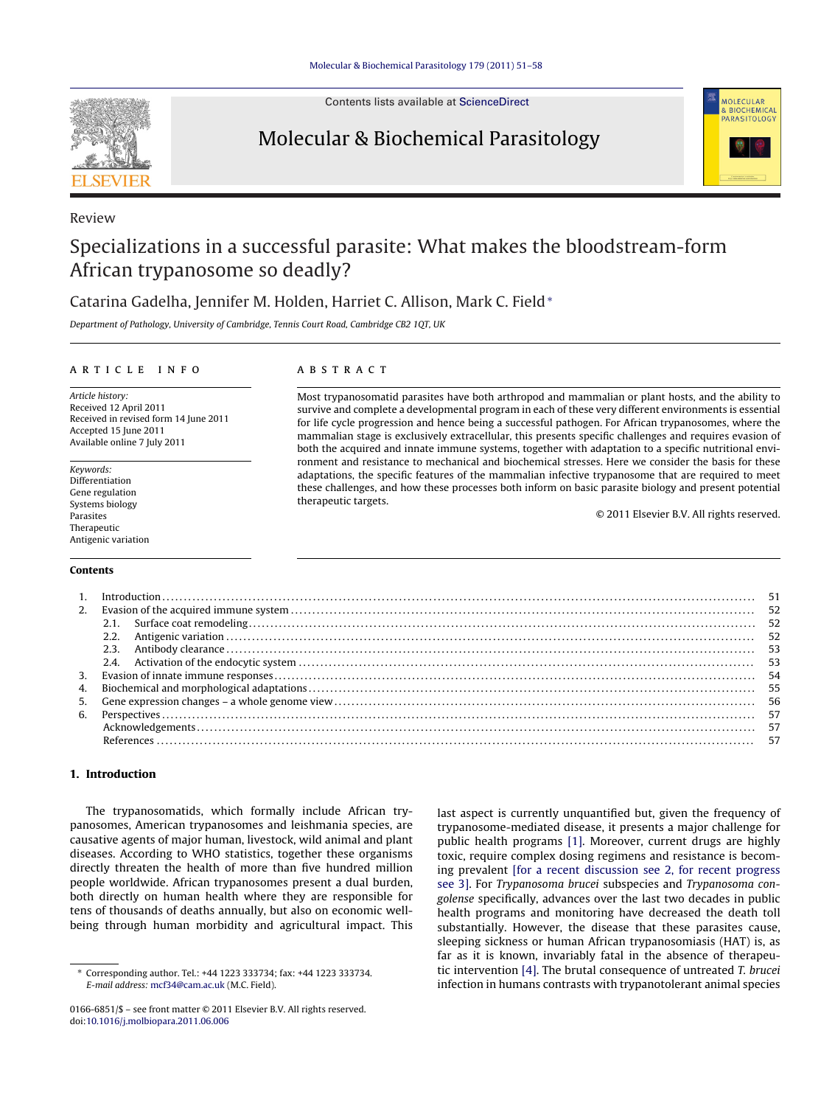

Contents lists available at [ScienceDirect](http://www.sciencedirect.com/science/journal/01666851)

# Molecular & Biochemical Parasitology



# Review

# Specializations in a successful parasite: What makes the bloodstream-form African trypanosome so deadly?

# Catarina Gadelha, Jennifer M. Holden, Harriet C. Allison, Mark C. Field<sup>∗</sup>

Department of Pathology, University of Cambridge, Tennis Court Road, Cambridge CB2 1QT, UK

#### ARTICLE INFO

Article history: Received 12 April 2011 Received in revised form 14 June 2011 Accepted 15 June 2011 Available online 7 July 2011

Keywords: Differentiation Gene regulation Systems biology Parasites Therapeutic Antigenic variation

### **Contents**

## A B S T R A C T

Most trypanosomatid parasites have both arthropod and mammalian or plant hosts, and the ability to survive and complete a developmental program in each of these very different environments is essential for life cycle progression and hence being a successful pathogen. For African trypanosomes, where the mammalian stage is exclusively extracellular, this presents specific challenges and requires evasion of both the acquired and innate immune systems, together with adaptation to a specific nutritional environment and resistance to mechanical and biochemical stresses. Here we consider the basis for these adaptations, the specific features of the mammalian infective trypanosome that are required to meet these challenges, and how these processes both inform on basic parasite biology and present potential therapeutic targets.

© 2011 Elsevier B.V. All rights reserved.

# **1. Introduction**

The trypanosomatids, which formally include African trypanosomes, American trypanosomes and leishmania species, are causative agents of major human, livestock, wild animal and plant diseases. According to WHO statistics, together these organisms directly threaten the health of more than five hundred million people worldwide. African trypanosomes present a dual burden, both directly on human health where they are responsible for tens of thousands of deaths annually, but also on economic wellbeing through human morbidity and agricultural impact. This

last aspect is currently unquantified but, given the frequency of trypanosome-mediated disease, it presents a major challenge for public health programs [\[1\].](#page-6-0) Moreover, current drugs are highly toxic, require complex dosing regimens and resistance is becoming prevalent [\[for](#page-6-0) [a](#page-6-0) [recent](#page-6-0) [discussion](#page-6-0) [see](#page-6-0) [2,](#page-6-0) [for](#page-6-0) [recent](#page-6-0) [progress](#page-6-0) [see](#page-6-0) [3\].](#page-6-0) For Trypanosoma brucei subspecies and Trypanosoma congolense specifically, advances over the last two decades in public health programs and monitoring have decreased the death toll substantially. However, the disease that these parasites cause, sleeping sickness or human African trypanosomiasis (HAT) is, as far as it is known, invariably fatal in the absence of therapeutic intervention [\[4\].](#page-6-0) The brutal consequence of untreated T. brucei infection in humans contrasts with trypanotolerant animal species

<sup>∗</sup> Corresponding author. Tel.: +44 1223 333734; fax: +44 1223 333734. E-mail address: [mcf34@cam.ac.uk](mailto:mcf34@cam.ac.uk) (M.C. Field).

<sup>0166-6851/\$</sup> – see front matter © 2011 Elsevier B.V. All rights reserved. doi:[10.1016/j.molbiopara.2011.06.006](dx.doi.org/10.1016/j.molbiopara.2011.06.006)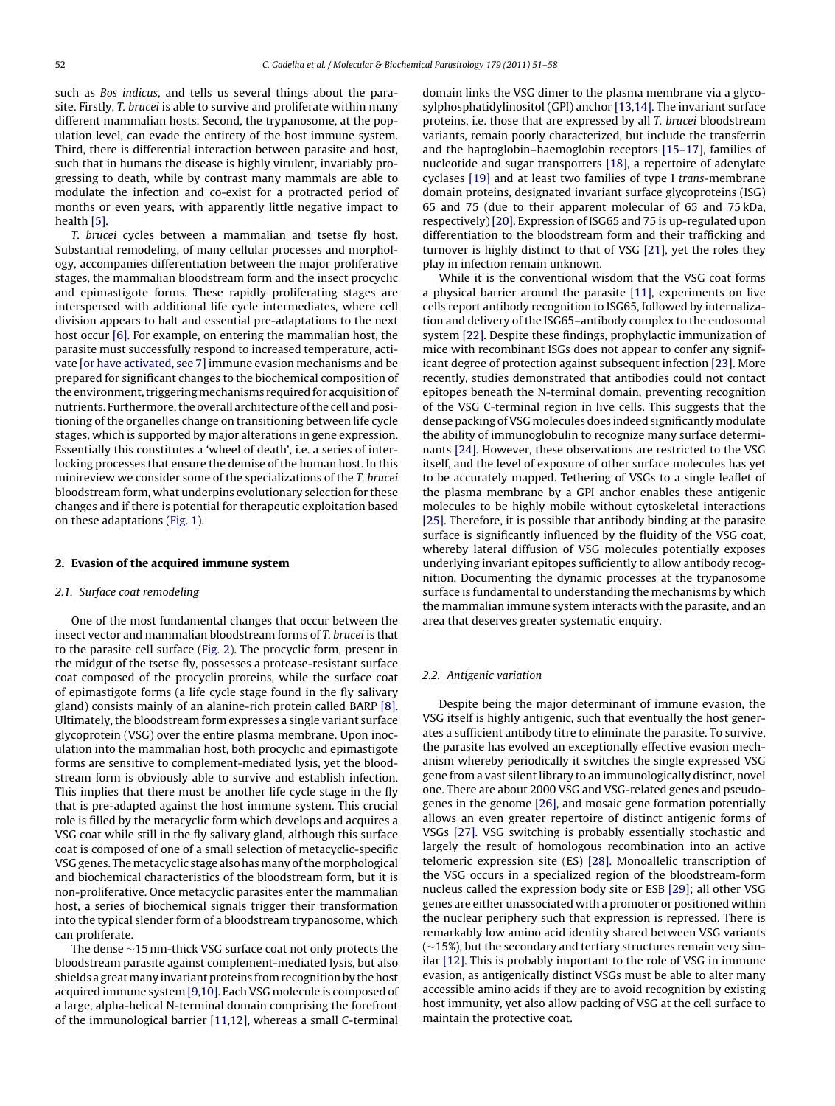such as Bos indicus, and tells us several things about the parasite. Firstly, T. brucei is able to survive and proliferate within many different mammalian hosts. Second, the trypanosome, at the population level, can evade the entirety of the host immune system. Third, there is differential interaction between parasite and host, such that in humans the disease is highly virulent, invariably progressing to death, while by contrast many mammals are able to modulate the infection and co-exist for a protracted period of months or even years, with apparently little negative impact to health [\[5\].](#page-6-0)

T. brucei cycles between a mammalian and tsetse fly host. Substantial remodeling, of many cellular processes and morphology, accompanies differentiation between the major proliferative stages, the mammalian bloodstream form and the insect procyclic and epimastigote forms. These rapidly proliferating stages are interspersed with additional life cycle intermediates, where cell division appears to halt and essential pre-adaptations to the next host occur [\[6\].](#page-6-0) For example, on entering the mammalian host, the parasite must successfully respond to increased temperature, activate [\[or](#page-6-0) [have](#page-6-0) [activated,](#page-6-0) [see](#page-6-0) [7\]](#page-6-0) immune evasion mechanisms and be prepared for significant changes to the biochemical composition of the environment, triggering mechanisms required for acquisition of nutrients. Furthermore, the overall architecture of the cell and positioning of the organelles change on transitioning between life cycle stages, which is supported by major alterations in gene expression. Essentially this constitutes a 'wheel of death', i.e. a series of interlocking processes that ensure the demise of the human host. In this minireview we consider some of the specializations of the T. brucei bloodstream form, what underpins evolutionary selection for these changes and if there is potential for therapeutic exploitation based on these adaptations [\(Fig.](#page-2-0) 1).

#### **2. Evasion of the acquired immune system**

#### 2.1. Surface coat remodeling

One of the most fundamental changes that occur between the insect vector and mammalian bloodstream forms of T. brucei is that to the parasite cell surface ([Fig.](#page-2-0) 2). The procyclic form, present in the midgut of the tsetse fly, possesses a protease-resistant surface coat composed of the procyclin proteins, while the surface coat of epimastigote forms (a life cycle stage found in the fly salivary gland) consists mainly of an alanine-rich protein called BARP [\[8\].](#page-6-0) Ultimately, the bloodstream form expresses a single variant surface glycoprotein (VSG) over the entire plasma membrane. Upon inoculation into the mammalian host, both procyclic and epimastigote forms are sensitive to complement-mediated lysis, yet the bloodstream form is obviously able to survive and establish infection. This implies that there must be another life cycle stage in the fly that is pre-adapted against the host immune system. This crucial role is filled by the metacyclic form which develops and acquires a VSG coat while still in the fly salivary gland, although this surface coat is composed of one of a small selection of metacyclic-specific VSG genes. The metacyclic stage also has many of the morphological and biochemical characteristics of the bloodstream form, but it is non-proliferative. Once metacyclic parasites enter the mammalian host, a series of biochemical signals trigger their transformation into the typical slender form of a bloodstream trypanosome, which can proliferate.

The dense ∼15 nm-thick VSG surface coat not only protects the bloodstream parasite against complement-mediated lysis, but also shields a great many invariant proteins from recognition by the host acquired immune system [\[9,10\].](#page-6-0) Each VSG molecule is composed of a large, alpha-helical N-terminal domain comprising the forefront of the immunological barrier [\[11,12\],](#page-6-0) whereas a small C-terminal

domain links the VSG dimer to the plasma membrane via a glycosylphosphatidylinositol (GPI) anchor [\[13,14\].](#page-6-0) The invariant surface proteins, i.e. those that are expressed by all T. brucei bloodstream variants, remain poorly characterized, but include the transferrin and the haptoglobin–haemoglobin receptors [\[15–17\],](#page-6-0) families of nucleotide and sugar transporters [\[18\],](#page-6-0) a repertoire of adenylate cyclases [\[19\]](#page-6-0) and at least two families of type I trans-membrane domain proteins, designated invariant surface glycoproteins (ISG) 65 and 75 (due to their apparent molecular of 65 and 75 kDa, respectively) [\[20\].](#page-6-0) Expression of ISG65 and 75 is up-regulated upon differentiation to the bloodstream form and their trafficking and turnover is highly distinct to that of VSG [\[21\],](#page-6-0) yet the roles they play in infection remain unknown.

While it is the conventional wisdom that the VSG coat forms a physical barrier around the parasite [\[11\],](#page-6-0) experiments on live cells report antibody recognition to ISG65, followed by internalization and delivery of the ISG65–antibody complex to the endosomal system [\[22\].](#page-6-0) Despite these findings, prophylactic immunization of mice with recombinant ISGs does not appear to confer any significant degree of protection against subsequent infection [\[23\].](#page-6-0) More recently, studies demonstrated that antibodies could not contact epitopes beneath the N-terminal domain, preventing recognition of the VSG C-terminal region in live cells. This suggests that the dense packing ofVSG molecules does indeed significantly modulate the ability of immunoglobulin to recognize many surface determinants [\[24\].](#page-6-0) However, these observations are restricted to the VSG itself, and the level of exposure of other surface molecules has yet to be accurately mapped. Tethering of VSGs to a single leaflet of the plasma membrane by a GPI anchor enables these antigenic molecules to be highly mobile without cytoskeletal interactions [\[25\].](#page-6-0) Therefore, it is possible that antibody binding at the parasite surface is significantly influenced by the fluidity of the VSG coat, whereby lateral diffusion of VSG molecules potentially exposes underlying invariant epitopes sufficiently to allow antibody recognition. Documenting the dynamic processes at the trypanosome surface is fundamental to understanding the mechanisms by which the mammalian immune system interacts with the parasite, and an area that deserves greater systematic enquiry.

#### 2.2. Antigenic variation

Despite being the major determinant of immune evasion, the VSG itself is highly antigenic, such that eventually the host generates a sufficient antibody titre to eliminate the parasite. To survive, the parasite has evolved an exceptionally effective evasion mechanism whereby periodically it switches the single expressed VSG gene from a vast silent library to an immunologically distinct, novel one. There are about 2000 VSG and VSG-related genes and pseudogenes in the genome [\[26\],](#page-6-0) and mosaic gene formation potentially allows an even greater repertoire of distinct antigenic forms of VSGs [\[27\].](#page-6-0) VSG switching is probably essentially stochastic and largely the result of homologous recombination into an active telomeric expression site (ES) [\[28\].](#page-6-0) Monoallelic transcription of the VSG occurs in a specialized region of the bloodstream-form nucleus called the expression body site or ESB [\[29\];](#page-6-0) all other VSG genes are either unassociated with a promoter or positioned within the nuclear periphery such that expression is repressed. There is remarkably low amino acid identity shared between VSG variants (∼15%), but the secondary and tertiary structures remain very similar [\[12\].](#page-6-0) This is probably important to the role of VSG in immune evasion, as antigenically distinct VSGs must be able to alter many accessible amino acids if they are to avoid recognition by existing host immunity, yet also allow packing of VSG at the cell surface to maintain the protective coat.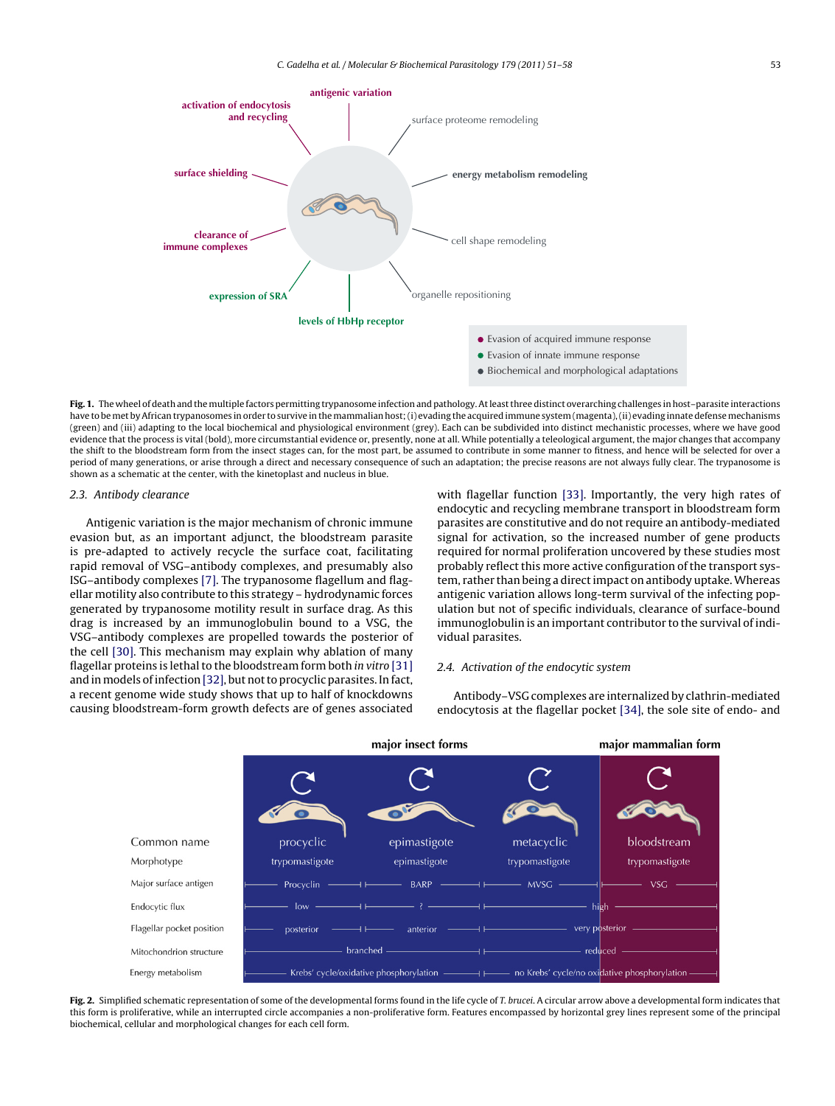<span id="page-2-0"></span>

Fig. 1. The wheel of death and the multiple factors permitting trypanosome infection and pathology. At least three distinct overarching challenges in host-parasite interactions have to be met by African trypanosomes in order to survive in the mammalian host; (i) evading the acquired immune system (magenta), (ii) evading innate defense mechanisms (green) and (iii) adapting to the local biochemical and physiological environment (grey). Each can be subdivided into distinct mechanistic processes, where we have good evidence that the process is vital (bold), more circumstantial evidence or, presently, none at all. While potentially a teleological argument, the major changes that accompany the shift to the bloodstream form from the insect stages can, for the most part, be assumed to contribute in some manner to fitness, and hence will be selected for over a period of many generations, or arise through a direct and necessary consequence of such an adaptation; the precise reasons are not always fully clear. The trypanosome is shown as a schematic at the center, with the kinetoplast and nucleus in blue.

#### 2.3. Antibody clearance

Antigenic variation is the major mechanism of chronic immune evasion but, as an important adjunct, the bloodstream parasite is pre-adapted to actively recycle the surface coat, facilitating rapid removal of VSG–antibody complexes, and presumably also ISG–antibody complexes [\[7\].](#page-6-0) The trypanosome flagellum and flagellar motility also contribute to this strategy – hydrodynamic forces generated by trypanosome motility result in surface drag. As this drag is increased by an immunoglobulin bound to a VSG, the VSG–antibody complexes are propelled towards the posterior of the cell [\[30\].](#page-6-0) This mechanism may explain why ablation of many flagellar proteins is lethal to the bloodstream form both in vitro  $[31]$ and in models of infection [\[32\],](#page-6-0) but not to procyclic parasites. In fact, a recent genome wide study shows that up to half of knockdowns causing bloodstream-form growth defects are of genes associated

with flagellar function [\[33\].](#page-6-0) Importantly, the very high rates of endocytic and recycling membrane transport in bloodstream form parasites are constitutive and do not require an antibody-mediated signal for activation, so the increased number of gene products required for normal proliferation uncovered by these studies most probably reflect this more active configuration of the transport system, rather than being a directimpact on antibody uptake.Whereas antigenic variation allows long-term survival of the infecting population but not of specific individuals, clearance of surface-bound immunoglobulin is an important contributor to the survival of individual parasites.

## 2.4. Activation of the endocytic system

Antibody–VSG complexes are internalized by clathrin-mediated endocytosis at the flagellar pocket [\[34\],](#page-6-0) the sole site of endo- and



**Fig. 2.** Simplified schematic representation of some of the developmental forms found in the life cycle of T. brucei. A circular arrow above a developmental form indicates that this form is proliferative, while an interrupted circle accompanies a non-proliferative form. Features encompassed by horizontal grey lines represent some of the principal biochemical, cellular and morphological changes for each cell form.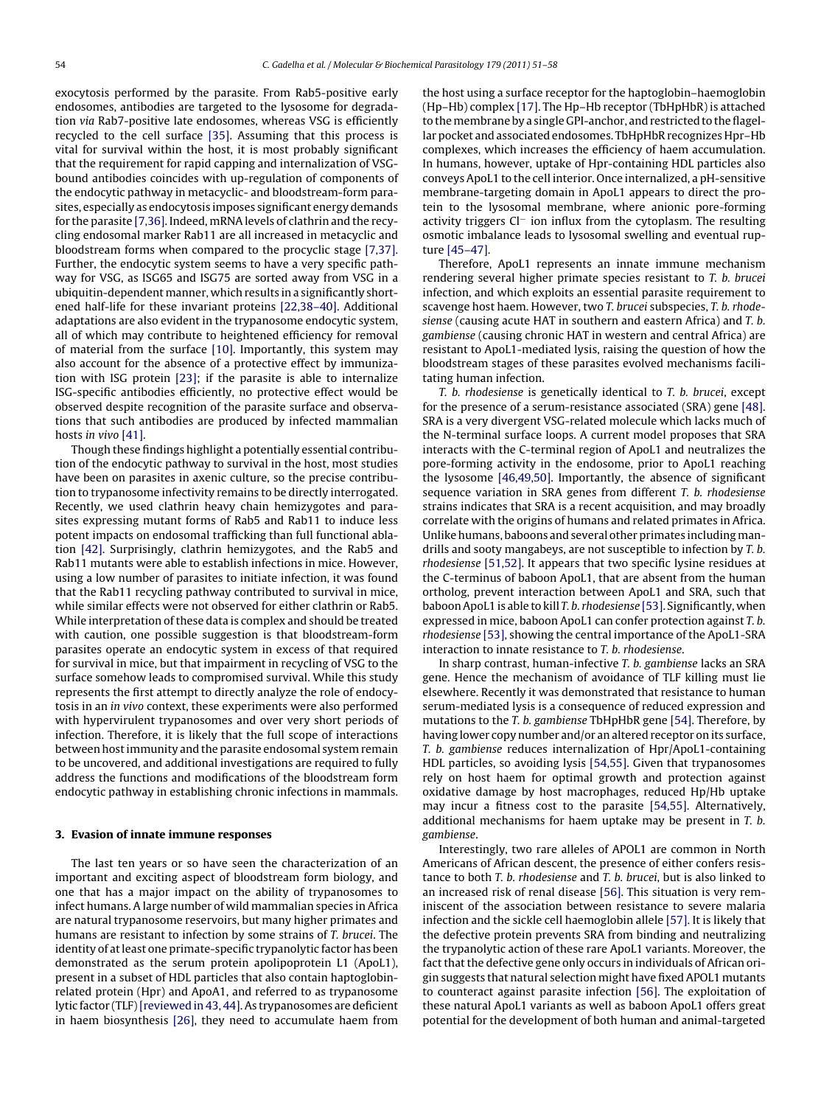exocytosis performed by the parasite. From Rab5-positive early endosomes, antibodies are targeted to the lysosome for degradation via Rab7-positive late endosomes, whereas VSG is efficiently recycled to the cell surface [\[35\].](#page-7-0) Assuming that this process is vital for survival within the host, it is most probably significant that the requirement for rapid capping and internalization of VSGbound antibodies coincides with up-regulation of components of the endocytic pathway in metacyclic- and bloodstream-form parasites, especially as endocytosis imposes significant energy demands for the parasite [\[7,36\].](#page-6-0) Indeed, mRNA levels of clathrin and the recycling endosomal marker Rab11 are all increased in metacyclic and bloodstream forms when compared to the procyclic stage [\[7,37\].](#page-6-0) Further, the endocytic system seems to have a very specific pathway for VSG, as ISG65 and ISG75 are sorted away from VSG in a ubiquitin-dependent manner, which results in a significantly shortened half-life for these invariant proteins [\[22,38–40\].](#page-6-0) Additional adaptations are also evident in the trypanosome endocytic system, all of which may contribute to heightened efficiency for removal of material from the surface [\[10\].](#page-6-0) Importantly, this system may also account for the absence of a protective effect by immunization with ISG protein [\[23\];](#page-6-0) if the parasite is able to internalize ISG-specific antibodies efficiently, no protective effect would be observed despite recognition of the parasite surface and observations that such antibodies are produced by infected mammalian hosts in vivo [\[41\].](#page-7-0)

Though these findings highlight a potentially essential contribution of the endocytic pathway to survival in the host, most studies have been on parasites in axenic culture, so the precise contribution to trypanosome infectivity remains to be directly interrogated. Recently, we used clathrin heavy chain hemizygotes and parasites expressing mutant forms of Rab5 and Rab11 to induce less potent impacts on endosomal trafficking than full functional ablation [\[42\].](#page-7-0) Surprisingly, clathrin hemizygotes, and the Rab5 and Rab11 mutants were able to establish infections in mice. However, using a low number of parasites to initiate infection, it was found that the Rab11 recycling pathway contributed to survival in mice, while similar effects were not observed for either clathrin or Rab5. While interpretation of these data is complex and should be treated with caution, one possible suggestion is that bloodstream-form parasites operate an endocytic system in excess of that required for survival in mice, but that impairment in recycling of VSG to the surface somehow leads to compromised survival. While this study represents the first attempt to directly analyze the role of endocytosis in an in vivo context, these experiments were also performed with hypervirulent trypanosomes and over very short periods of infection. Therefore, it is likely that the full scope of interactions between hostimmunity and the parasite endosomal system remain to be uncovered, and additional investigations are required to fully address the functions and modifications of the bloodstream form endocytic pathway in establishing chronic infections in mammals.

#### **3. Evasion of innate immune responses**

The last ten years or so have seen the characterization of an important and exciting aspect of bloodstream form biology, and one that has a major impact on the ability of trypanosomes to infect humans. A large number of wild mammalian species in Africa are natural trypanosome reservoirs, but many higher primates and humans are resistant to infection by some strains of T. brucei. The identity of at least one primate-specific trypanolytic factor has been demonstrated as the serum protein apolipoprotein L1 (ApoL1), present in a subset of HDL particles that also contain haptoglobinrelated protein (Hpr) and ApoA1, and referred to as trypanosome lytic factor (TLF)[\[reviewed](#page-7-0) [in](#page-7-0) [43,](#page-7-0) [44\].A](#page-7-0)s trypanosomes are deficient in haem biosynthesis [\[26\],](#page-6-0) they need to accumulate haem from

the host using a surface receptor for the haptoglobin–haemoglobin (Hp–Hb) complex [\[17\].](#page-6-0) The Hp–Hb receptor (TbHpHbR) is attached to the membrane by a single GPI-anchor, and restricted to the flagellar pocket and associated endosomes. TbHpHbR recognizes Hpr–Hb complexes, which increases the efficiency of haem accumulation. In humans, however, uptake of Hpr-containing HDL particles also conveys ApoL1 to the cell interior. Once internalized, a pH-sensitive membrane-targeting domain in ApoL1 appears to direct the protein to the lysosomal membrane, where anionic pore-forming activity triggers Cl− ion influx from the cytoplasm. The resulting osmotic imbalance leads to lysosomal swelling and eventual rupture [\[45–47\].](#page-7-0)

Therefore, ApoL1 represents an innate immune mechanism rendering several higher primate species resistant to T. b. brucei infection, and which exploits an essential parasite requirement to scavenge host haem. However, two T. brucei subspecies, T. b. rhodesiense (causing acute HAT in southern and eastern Africa) and T. b. gambiense (causing chronic HAT in western and central Africa) are resistant to ApoL1-mediated lysis, raising the question of how the bloodstream stages of these parasites evolved mechanisms facilitating human infection.

T. b. rhodesiense is genetically identical to T. b. brucei, except for the presence of a serum-resistance associated (SRA) gene [\[48\].](#page-7-0) SRA is a very divergent VSG-related molecule which lacks much of the N-terminal surface loops. A current model proposes that SRA interacts with the C-terminal region of ApoL1 and neutralizes the pore-forming activity in the endosome, prior to ApoL1 reaching the lysosome [\[46,49,50\].](#page-7-0) Importantly, the absence of significant sequence variation in SRA genes from different T. b. rhodesiense strains indicates that SRA is a recent acquisition, and may broadly correlate with the origins of humans and related primates in Africa. Unlike humans, baboons and several other primates including mandrills and sooty mangabeys, are not susceptible to infection by T. b. rhodesiense [\[51,52\].](#page-7-0) It appears that two specific lysine residues at the C-terminus of baboon ApoL1, that are absent from the human ortholog, prevent interaction between ApoL1 and SRA, such that baboonApoL1 is able to kill T. b. rhodesiense [\[53\].](#page-7-0) Significantly, when expressed in mice, baboon ApoL1 can confer protection against T. b. rhodesiense [\[53\],](#page-7-0) showing the central importance of the ApoL1-SRA interaction to innate resistance to T. b. rhodesiense.

In sharp contrast, human-infective T. b. gambiense lacks an SRA gene. Hence the mechanism of avoidance of TLF killing must lie elsewhere. Recently it was demonstrated that resistance to human serum-mediated lysis is a consequence of reduced expression and mutations to the T. b. gambiense TbHpHbR gene [\[54\].](#page-7-0) Therefore, by having lower copy number and/or an altered receptor on its surface, T. b. gambiense reduces internalization of Hpr/ApoL1-containing HDL particles, so avoiding lysis [\[54,55\].](#page-7-0) Given that trypanosomes rely on host haem for optimal growth and protection against oxidative damage by host macrophages, reduced Hp/Hb uptake may incur a fitness cost to the parasite [\[54,55\].](#page-7-0) Alternatively, additional mechanisms for haem uptake may be present in T. b. gambiense.

Interestingly, two rare alleles of APOL1 are common in North Americans of African descent, the presence of either confers resistance to both T. b. rhodesiense and T. b. brucei, but is also linked to an increased risk of renal disease [\[56\].](#page-7-0) This situation is very reminiscent of the association between resistance to severe malaria infection and the sickle cell haemoglobin allele [\[57\].](#page-7-0) It is likely that the defective protein prevents SRA from binding and neutralizing the trypanolytic action of these rare ApoL1 variants. Moreover, the fact that the defective gene only occurs in individuals of African origin suggests that natural selection might have fixed APOL1 mutants to counteract against parasite infection [\[56\].](#page-7-0) The exploitation of these natural ApoL1 variants as well as baboon ApoL1 offers great potential for the development of both human and animal-targeted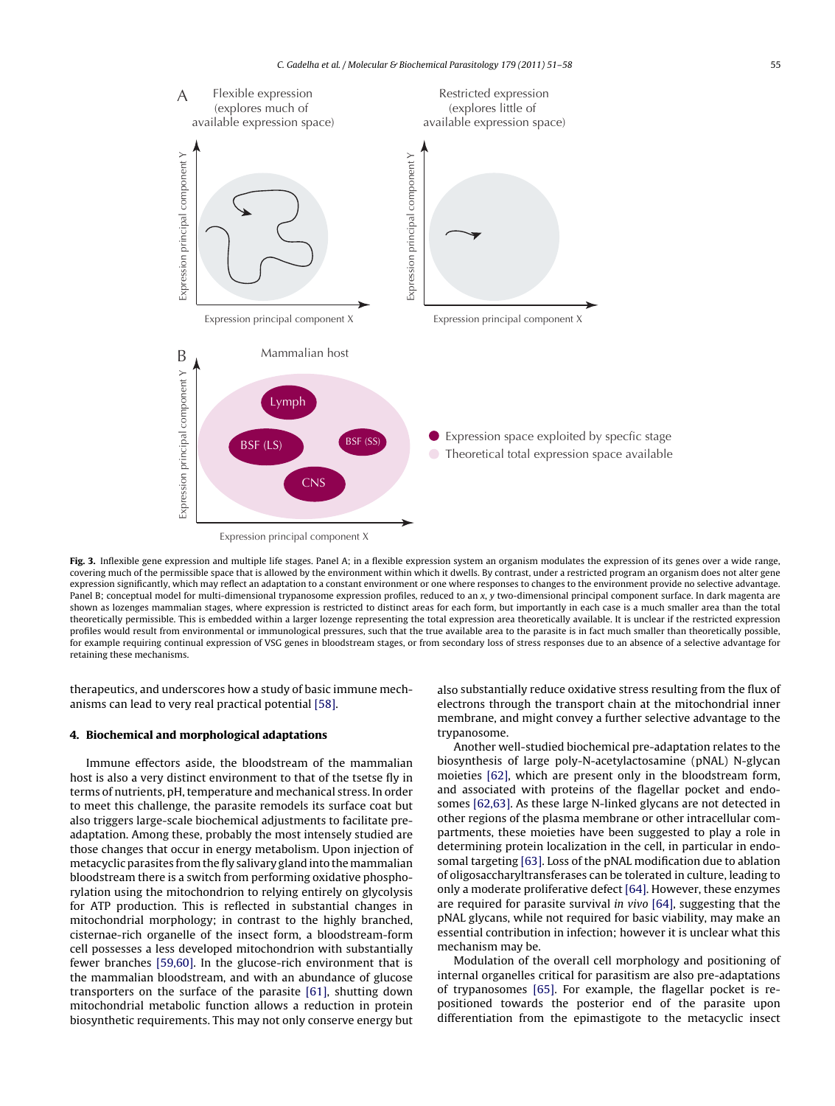<span id="page-4-0"></span>

Fig. 3. Inflexible gene expression and multiple life stages. Panel A; in a flexible expression system an organism modulates the expression of its genes over a wide range, covering much of the permissible space that is allowed by the environment within which it dwells. By contrast, under a restricted program an organism does not alter gene expression significantly, which may reflect an adaptation to a constant environment or one where responses to changes to the environment provide no selective advantage. Panel B; conceptual model for multi-dimensional trypanosome expression profiles, reduced to an x, y two-dimensional principal component surface. In dark magenta are shown as lozenges mammalian stages, where expression is restricted to distinct areas for each form, but importantly in each case is a much smaller area than the total theoretically permissible. This is embedded within a larger lozenge representing the total expression area theoretically available. It is unclear if the restricted expression profiles would result from environmental or immunological pressures, such that the true available area to the parasite is in fact much smaller than theoretically possible, for example requiring continual expression of VSG genes in bloodstream stages, or from secondary loss of stress responses due to an absence of a selective advantage for retaining these mechanisms.

therapeutics, and underscores how a study of basic immune mechanisms can lead to very real practical potential [\[58\].](#page-7-0)

# **4. Biochemical and morphological adaptations**

Immune effectors aside, the bloodstream of the mammalian host is also a very distinct environment to that of the tsetse fly in terms of nutrients, pH, temperature and mechanical stress. In order to meet this challenge, the parasite remodels its surface coat but also triggers large-scale biochemical adjustments to facilitate preadaptation. Among these, probably the most intensely studied are those changes that occur in energy metabolism. Upon injection of metacyclic parasites from the fly salivary gland into the mammalian bloodstream there is a switch from performing oxidative phosphorylation using the mitochondrion to relying entirely on glycolysis for ATP production. This is reflected in substantial changes in mitochondrial morphology; in contrast to the highly branched, cisternae-rich organelle of the insect form, a bloodstream-form cell possesses a less developed mitochondrion with substantially fewer branches [\[59,60\].](#page-7-0) In the glucose-rich environment that is the mammalian bloodstream, and with an abundance of glucose transporters on the surface of the parasite [\[61\],](#page-7-0) shutting down mitochondrial metabolic function allows a reduction in protein biosynthetic requirements. This may not only conserve energy but

also substantially reduce oxidative stress resulting from the flux of electrons through the transport chain at the mitochondrial inner membrane, and might convey a further selective advantage to the trypanosome.

Another well-studied biochemical pre-adaptation relates to the biosynthesis of large poly-N-acetylactosamine (pNAL) N-glycan moieties [\[62\],](#page-7-0) which are present only in the bloodstream form, and associated with proteins of the flagellar pocket and endosomes [\[62,63\].](#page-7-0) As these large N-linked glycans are not detected in other regions of the plasma membrane or other intracellular compartments, these moieties have been suggested to play a role in determining protein localization in the cell, in particular in endosomal targeting [\[63\].](#page-7-0) Loss of the pNAL modification due to ablation of oligosaccharyltransferases can be tolerated in culture, leading to only a moderate proliferative defect [\[64\].](#page-7-0) However, these enzymes are required for parasite survival in vivo [\[64\],](#page-7-0) suggesting that the pNAL glycans, while not required for basic viability, may make an essential contribution in infection; however it is unclear what this mechanism may be.

Modulation of the overall cell morphology and positioning of internal organelles critical for parasitism are also pre-adaptations of trypanosomes [\[65\].](#page-7-0) For example, the flagellar pocket is repositioned towards the posterior end of the parasite upon differentiation from the epimastigote to the metacyclic insect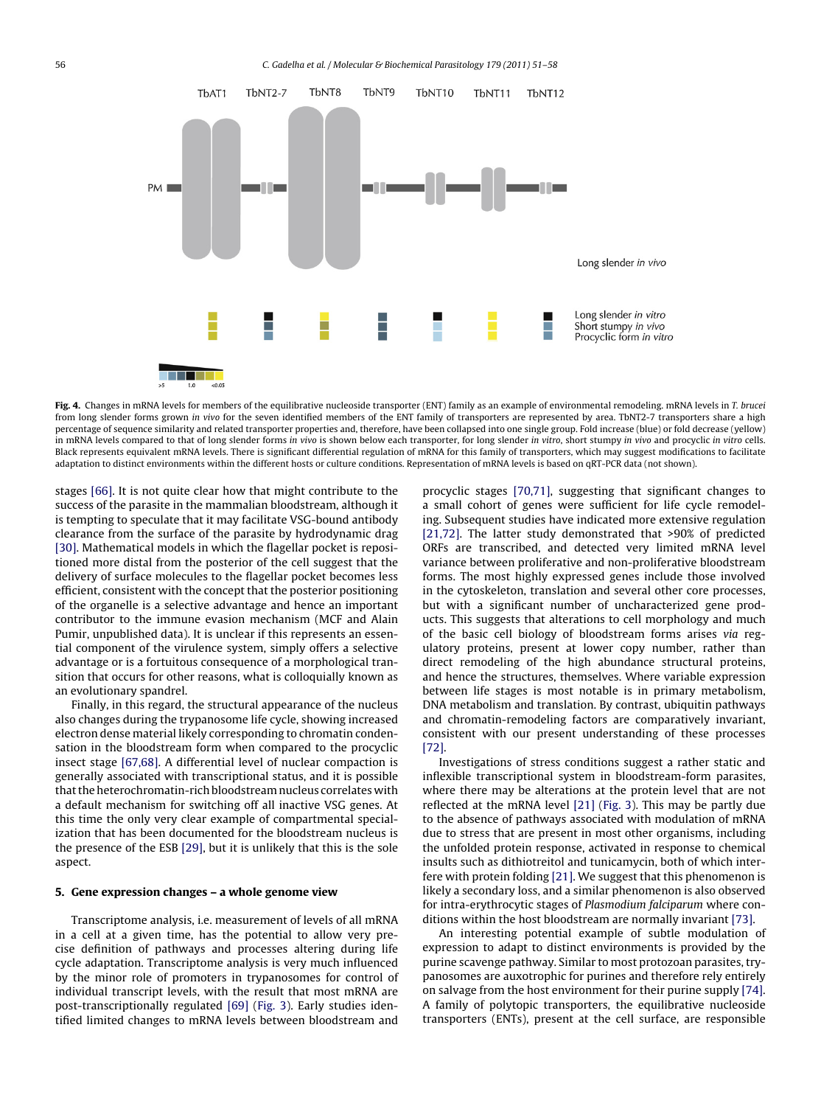<span id="page-5-0"></span>56 C. Gadelha et al. / Molecular & Biochemical Parasitology *179 (2011) 51–58*



**Fig. 4.** Changes in mRNA levels for members of the equilibrative nucleoside transporter (ENT) family as an example of environmental remodeling. mRNA levels in T. brucei from long slender forms grown in vivo for the seven identified members of the ENT family of transporters are represented by area. TbNT2-7 transporters share a high percentage of sequence similarity and related transporter properties and, therefore, have been collapsed into one single group. Fold increase (blue) or fold decrease (yellow) in mRNA levels compared to that of long slender forms in vivo is shown below each transporter, for long slender in vitro, short stumpy in vivo and procyclic in vitro cells. Black represents equivalent mRNA levels. There is significant differential regulation of mRNA for this family of transporters, which may suggest modifications to facilitate adaptation to distinct environments within the different hosts or culture conditions. Representation of mRNA levels is based on qRT-PCR data (not shown).

stages [\[66\].](#page-7-0) It is not quite clear how that might contribute to the success of the parasite in the mammalian bloodstream, although it is tempting to speculate that it may facilitate VSG-bound antibody clearance from the surface of the parasite by hydrodynamic drag [\[30\].](#page-6-0) Mathematical models in which the flagellar pocket is repositioned more distal from the posterior of the cell suggest that the delivery of surface molecules to the flagellar pocket becomes less efficient, consistent with the concept that the posterior positioning of the organelle is a selective advantage and hence an important contributor to the immune evasion mechanism (MCF and Alain Pumir, unpublished data). It is unclear if this represents an essential component of the virulence system, simply offers a selective advantage or is a fortuitous consequence of a morphological transition that occurs for other reasons, what is colloquially known as an evolutionary spandrel.

Finally, in this regard, the structural appearance of the nucleus also changes during the trypanosome life cycle, showing increased electron dense material likely corresponding to chromatin condensation in the bloodstream form when compared to the procyclic insect stage [\[67,68\].](#page-7-0) A differential level of nuclear compaction is generally associated with transcriptional status, and it is possible that the heterochromatin-rich bloodstream nucleus correlates with a default mechanism for switching off all inactive VSG genes. At this time the only very clear example of compartmental specialization that has been documented for the bloodstream nucleus is the presence of the ESB [\[29\],](#page-6-0) but it is unlikely that this is the sole aspect.

#### **5. Gene expression changes – a whole genome view**

Transcriptome analysis, i.e. measurement of levels of all mRNA in a cell at a given time, has the potential to allow very precise definition of pathways and processes altering during life cycle adaptation. Transcriptome analysis is very much influenced by the minor role of promoters in trypanosomes for control of individual transcript levels, with the result that most mRNA are post-transcriptionally regulated [\[69\]](#page-7-0) [\(Fig.](#page-4-0) 3). Early studies identified limited changes to mRNA levels between bloodstream and

procyclic stages [\[70,71\],](#page-7-0) suggesting that significant changes to a small cohort of genes were sufficient for life cycle remodeling. Subsequent studies have indicated more extensive regulation [\[21,72\].](#page-6-0) The latter study demonstrated that >90% of predicted ORFs are transcribed, and detected very limited mRNA level variance between proliferative and non-proliferative bloodstream forms. The most highly expressed genes include those involved in the cytoskeleton, translation and several other core processes, but with a significant number of uncharacterized gene products. This suggests that alterations to cell morphology and much of the basic cell biology of bloodstream forms arises via regulatory proteins, present at lower copy number, rather than direct remodeling of the high abundance structural proteins, and hence the structures, themselves. Where variable expression between life stages is most notable is in primary metabolism, DNA metabolism and translation. By contrast, ubiquitin pathways and chromatin-remodeling factors are comparatively invariant, consistent with our present understanding of these processes [\[72\].](#page-7-0)

Investigations of stress conditions suggest a rather static and inflexible transcriptional system in bloodstream-form parasites, where there may be alterations at the protein level that are not reflected at the mRNA level [\[21\]](#page-6-0) ([Fig.](#page-4-0) 3). This may be partly due to the absence of pathways associated with modulation of mRNA due to stress that are present in most other organisms, including the unfolded protein response, activated in response to chemical insults such as dithiotreitol and tunicamycin, both of which interfere with protein folding [\[21\].](#page-6-0) We suggest that this phenomenon is likely a secondary loss, and a similar phenomenon is also observed for intra-erythrocytic stages of Plasmodium falciparum where conditions within the host bloodstream are normally invariant [\[73\].](#page-7-0)

An interesting potential example of subtle modulation of expression to adapt to distinct environments is provided by the purine scavenge pathway. Similar to most protozoan parasites, trypanosomes are auxotrophic for purines and therefore rely entirely on salvage from the host environment for their purine supply [\[74\].](#page-7-0) A family of polytopic transporters, the equilibrative nucleoside transporters (ENTs), present at the cell surface, are responsible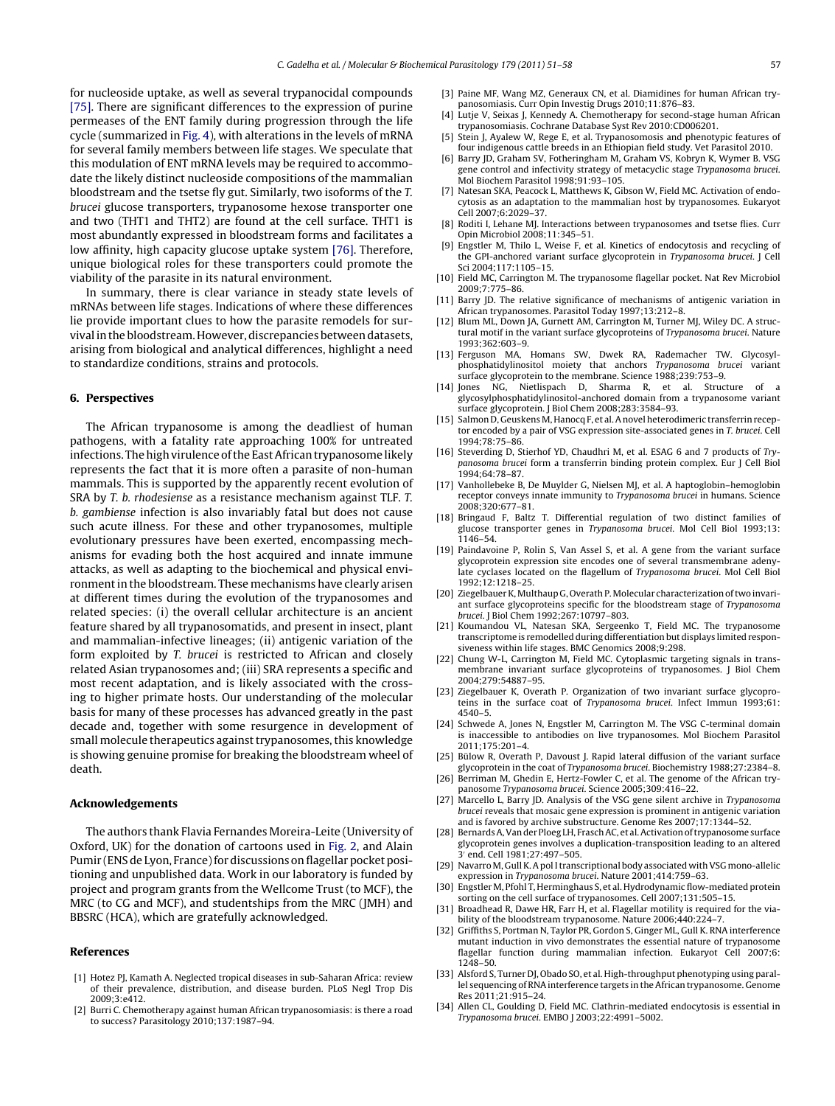<span id="page-6-0"></span>for nucleoside uptake, as well as several trypanocidal compounds [\[75\].](#page-7-0) There are significant differences to the expression of purine permeases of the ENT family during progression through the life cycle (summarized in [Fig.](#page-5-0) 4), with alterations in the levels of mRNA for several family members between life stages. We speculate that this modulation of ENT mRNA levels may be required to accommodate the likely distinct nucleoside compositions of the mammalian bloodstream and the tsetse fly gut. Similarly, two isoforms of the T. brucei glucose transporters, trypanosome hexose transporter one and two (THT1 and THT2) are found at the cell surface. THT1 is most abundantly expressed in bloodstream forms and facilitates a low affinity, high capacity glucose uptake system [\[76\].](#page-7-0) Therefore, unique biological roles for these transporters could promote the viability of the parasite in its natural environment.

In summary, there is clear variance in steady state levels of mRNAs between life stages. Indications of where these differences lie provide important clues to how the parasite remodels for survival in the bloodstream. However, discrepancies between datasets, arising from biological and analytical differences, highlight a need to standardize conditions, strains and protocols.

#### **6. Perspectives**

The African trypanosome is among the deadliest of human pathogens, with a fatality rate approaching 100% for untreated infections. The high virulence of the East African trypanosome likely represents the fact that it is more often a parasite of non-human mammals. This is supported by the apparently recent evolution of SRA by T. b. rhodesiense as a resistance mechanism against TLF. T. b. gambiense infection is also invariably fatal but does not cause such acute illness. For these and other trypanosomes, multiple evolutionary pressures have been exerted, encompassing mechanisms for evading both the host acquired and innate immune attacks, as well as adapting to the biochemical and physical environment in the bloodstream. These mechanisms have clearly arisen at different times during the evolution of the trypanosomes and related species: (i) the overall cellular architecture is an ancient feature shared by all trypanosomatids, and present in insect, plant and mammalian-infective lineages; (ii) antigenic variation of the form exploited by T. brucei is restricted to African and closely related Asian trypanosomes and; (iii) SRA represents a specific and most recent adaptation, and is likely associated with the crossing to higher primate hosts. Our understanding of the molecular basis for many of these processes has advanced greatly in the past decade and, together with some resurgence in development of small molecule therapeutics against trypanosomes, this knowledge is showing genuine promise for breaking the bloodstream wheel of death.

## **Acknowledgements**

The authors thank Flavia Fernandes Moreira-Leite (University of Oxford, UK) for the donation of cartoons used in [Fig.](#page-2-0) 2, and Alain Pumir (ENS de Lyon, France) for discussions on flagellar pocket positioning and unpublished data. Work in our laboratory is funded by project and program grants from the Wellcome Trust (to MCF), the MRC (to CG and MCF), and studentships from the MRC (JMH) and BBSRC (HCA), which are gratefully acknowledged.

#### **References**

- [1] Hotez PJ, Kamath A. Neglected tropical diseases in sub-Saharan Africa: review of their prevalence, distribution, and disease burden. PLoS Negl Trop Dis  $2009.3.6412$
- [2] Burri C. Chemotherapy against human African trypanosomiasis: is there a road to success? Parasitology 2010;137:1987–94.
- [3] Paine MF, Wang MZ, Generaux CN, et al. Diamidines for human African trypanosomiasis. Curr Opin Investig Drugs 2010;11:876–83.
- [4] Lutje V, Seixas J, Kennedy A. Chemotherapy for second-stage human African trypanosomiasis. Cochrane Database Syst Rev 2010:CD006201.
- [5] Stein J, Ayalew W, Rege E, et al. Trypanosomosis and phenotypic features of four indigenous cattle breeds in an Ethiopian field study. Vet Parasitol 2010.
- [6] Barry JD, Graham SV, Fotheringham M, Graham VS, Kobryn K, Wymer B. VSG gene control and infectivity strategy of metacyclic stage Trypanosoma brucei. Mol Biochem Parasitol 1998;91:93–105.
- [7] Natesan SKA, Peacock L, Matthews K, Gibson W, Field MC. Activation of endocytosis as an adaptation to the mammalian host by trypanosomes. Eukaryot Cell 2007;6:2029–37.
- [8] Roditi I, Lehane MJ. Interactions between trypanosomes and tsetse flies. Curr Opin Microbiol 2008;11:345–51.
- [9] Engstler M, Thilo L, Weise F, et al. Kinetics of endocytosis and recycling of the GPI-anchored variant surface glycoprotein in Trypanosoma brucei. J Cell Sci 2004;117:1105–15.
- [10] Field MC, Carrington M. The trypanosome flagellar pocket. Nat Rev Microbiol 2009;7:775–86.
- [11] Barry JD. The relative significance of mechanisms of antigenic variation in African trypanosomes. Parasitol Today 1997;13:212–8.
- [12] Blum ML, Down JA, Gurnett AM, Carrington M, Turner MJ, Wiley DC. A structural motif in the variant surface glycoproteins of Trypanosoma brucei. Nature 1993;362:603–9.
- [13] Ferguson MA, Homans SW, Dwek RA, Rademacher TW, Glycosylphosphatidylinositol moiety that anchors Trypanosoma brucei variant surface glycoprotein to the membrane. Science 1988;239:753–9.<br>[14] Jones NG. Nietlispach D. Sharma R. et al. Struc
- NG, Nietlispach D, Sharma R, et al. Structure of a glycosylphosphatidylinositol-anchored domain from a trypanosome variant surface glycoprotein. J Biol Chem 2008;283:3584–93.
- [15] Salmon D, Geuskens M, Hanocq F, et al. A novel heterodimeric transferrin receptor encoded by a pair of VSG expression site-associated genes in T. brucei. Cell 1994;78:75–86.
- [16] Steverding D, Stierhof YD, Chaudhri M, et al. ESAG 6 and 7 products of Trypanosoma brucei form a transferrin binding protein complex. Eur J Cell Biol 1994;64:78–87.
- [17] Vanhollebeke B, De Muylder G, Nielsen MJ, et al. A haptoglobin–hemoglobin receptor conveys innate immunity to Trypanosoma brucei in humans. Science 2008;320:677–81.
- [18] Bringaud F, Baltz T. Differential regulation of two distinct families of glucose transporter genes in Trypanosoma brucei. Mol Cell Biol 1993;13: 1146–54.
- [19] Paindavoine P, Rolin S, Van Assel S, et al. A gene from the variant surface glycoprotein expression site encodes one of several transmembrane adenylate cyclases located on the flagellum of Trypanosoma brucei. Mol Cell Biol 1992;12:1218–25.
- [20] Ziegelbauer K, Multhaup G, Overath P. Molecular characterization of two invariant surface glycoproteins specific for the bloodstream stage of Trypanosoma brucei. J Biol Chem 1992;267:10797–803.
- [21] Koumandou VL, Natesan SKA, Sergeenko T, Field MC. The trypanosome transcriptome is remodelled during differentiation but displays limited responsiveness within life stages. BMC Genomics 2008;9:298.
- [22] Chung W-L, Carrington M, Field MC. Cytoplasmic targeting signals in transmembrane invariant surface glycoproteins of trypanosomes. J Biol Chem 2004;279:54887–95.
- [23] Ziegelbauer K, Overath P. Organization of two invariant surface glycoproteins in the surface coat of Trypanosoma brucei. Infect Immun 1993;61: 4540–5.
- [24] Schwede A, Jones N, Engstler M, Carrington M. The VSG C-terminal domain is inaccessible to antibodies on live trypanosomes. Mol Biochem Parasitol 2011;175:201–4.
- [25] Bülow R, Overath P, Davoust J. Rapid lateral diffusion of the variant surface glycoprotein in the coat of Trypanosoma brucei. Biochemistry 1988;27:2384–8.
- [26] Berriman M, Ghedin E, Hertz-Fowler C, et al. The genome of the African trypanosome Trypanosoma brucei. Science 2005;309:416–22.
- [27] Marcello L, Barry JD. Analysis of the VSG gene silent archive in Trypanosoma brucei reveals that mosaic gene expression is prominent in antigenic variation and is favored by archive substructure. Genome Res 2007;17:1344–52.
- [28] BernardsA,Vander Ploeg LH, FraschAC, et al.Activationoftrypanosome surface glycoprotein genes involves a duplication-transposition leading to an altered 3 end. Cell 1981;27:497–505.
- [29] Navarro M, Gull K. A pol I transcriptional body associated with VSG mono-allelic expression in Trypanosoma brucei. Nature 2001;414:759–63.
- [30] Engstler M, Pfohl T, Herminghaus S, et al. Hydrodynamic flow-mediated protein sorting on the cell surface of trypanosomes. Cell 2007;131:505–15.
- [31] Broadhead R, Dawe HR, Farr H, et al. Flagellar motility is required for the viability of the bloodstream trypanosome. Nature 2006;440:224–7.
- [32] Griffiths S, Portman N, Taylor PR, Gordon S, Ginger ML, Gull K. RNA interference mutant induction in vivo demonstrates the essential nature of trypanosome flagellar function during mammalian infection. Eukaryot Cell 2007;6: 1248–50.
- [33] Alsford S, Turner DJ, Obado SO, et al. High-throughput phenotyping using parallel sequencing of RNA interference targets in the African trypanosome. Genome Res 2011;21:915–24.
- [34] Allen CL, Goulding D, Field MC. Clathrin-mediated endocytosis is essential in Trypanosoma brucei. EMBO J 2003;22:4991–5002.